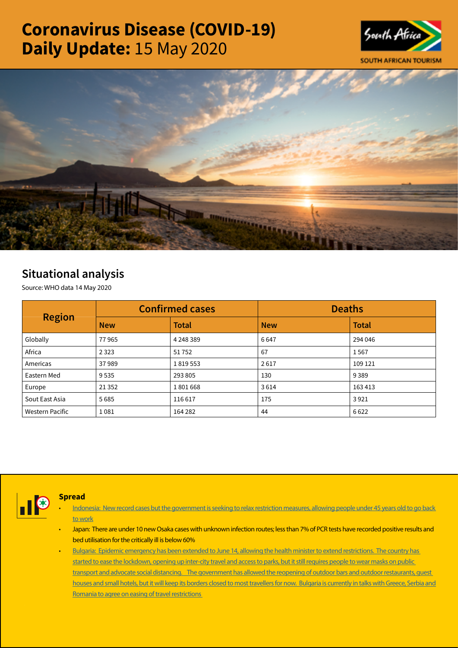# Coronavirus Disease (COVID-19) Daily Update: 15 May 2020





## Situational analysis

Source: WHO data 14 May 2020

| <b>Region</b>          |            | <b>Confirmed cases</b> | <b>Deaths</b> |              |  |
|------------------------|------------|------------------------|---------------|--------------|--|
|                        | <b>New</b> | <b>Total</b>           | <b>New</b>    | <b>Total</b> |  |
| Globally               | 77965      | 4 2 4 8 3 8 9          | 6647          | 294 046      |  |
| Africa                 | 2 3 2 3    | 51752                  | 67            | 1567         |  |
| Americas               | 37989      | 1819553                | 2617          | 109 121      |  |
| Eastern Med            | 9535       | 293 805                | 130           | 9389         |  |
| Europe                 | 21 3 52    | 1801668                | 3614          | 163 413      |  |
| Sout East Asia         | 5685       | 116617                 | 175           | 3921         |  |
| <b>Western Pacific</b> | 1081       | 164 282                | 44            | 6622         |  |



### Spread

- [Indonesia: New record cases but the government is seeking to relax restriction measures, allowing people under 45 years old to go back](https://urldefense.proofpoint.com/v2/url?u=https-3A__t.co_17pmPU7nbD-3Famp-3D1&d=DwMFaQ&c=9wxE0DgWbPxd1HCzjwN8Eaww1--ViDajIU4RXCxgSXE&r=yzHEvaMauYW-i_126uTfVmm6zZUDcU0q8rR4kRum7rc&m=yGyPGEjCwpGybvMHEXC-jOrh_2IVhNW1pzCB284vhe4&s=LJieT3m0YetqdeFUc7vLMiGGf8DcyQDt3B49sF5mjZQ&e=)  [to work](https://urldefense.proofpoint.com/v2/url?u=https-3A__t.co_17pmPU7nbD-3Famp-3D1&d=DwMFaQ&c=9wxE0DgWbPxd1HCzjwN8Eaww1--ViDajIU4RXCxgSXE&r=yzHEvaMauYW-i_126uTfVmm6zZUDcU0q8rR4kRum7rc&m=yGyPGEjCwpGybvMHEXC-jOrh_2IVhNW1pzCB284vhe4&s=LJieT3m0YetqdeFUc7vLMiGGf8DcyQDt3B49sF5mjZQ&e=)
- Japan: There are under 10 new Osaka cases with unknown infection routes; less than 7% of PCR tests have recorded positive results and bed utilisation for the critically ill is below 60%
- Bulgaria: Epidemic emergency has been extended to June 14, allowing the health minister to extend restrictions. The country has started to ease the lockdown, opening up inter-city travel and access to parks, but it still requires people to wear masks on public [transport and advocate social distancing. The government has allowed the reopening of outdoor bars and outdoor restaurants, guest](https://is.gd/d4jqwq)  houses and small hotels, but it will keep its borders closed to most travellers for now. Bulgaria is currently in talks with Greece, Serbia and [Romania to agree on easing of travel restrictions](https://is.gd/d4jqwq)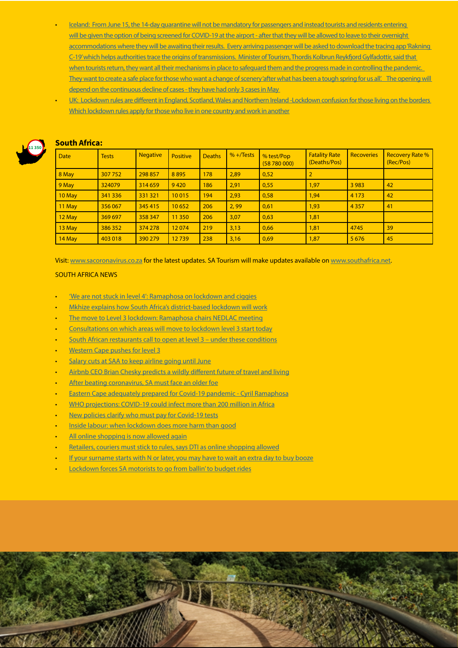- [Iceland: From June 15, the 14-day quarantine will not be mandatory for passengers and instead tourists and residents entering](https://is.gd/x2Mu4G)  [will be given the option of being screened for COVID-19 at the airport - after that they will be allowed to leave to their overnight](https://is.gd/x2Mu4G)  accommodations where they will be awaiting their results. Every arriving passenger will be asked to download the tracing app 'Rakning [C-19' which helps authorities trace the origins of transmissions. Minister of Tourism, Thordis Kolbrun Reykfjord Gylfadottir, said that](https://is.gd/x2Mu4G)  when tourists return, they want all their mechanisms in place to safeguard them and the progress made in controlling the pandemic. They want to create a safe place for those who want a change of scenery 'after what has been a tough spring for us all'. The opening will depend on the continuous decline of cases - they have had only 3 cases in May
- UK: Lockdown rules are different in England, Scotland, Wales and Northern Ireland -Lockdown confusion for those living on the borders [Which lockdown rules apply for those who live in one country and work in another](https://urldefense.proofpoint.com/v2/url?u=https-3A__t.co_p2Icof4SPV-3Famp-3D1&d=DwMFaQ&c=9wxE0DgWbPxd1HCzjwN8Eaww1--ViDajIU4RXCxgSXE&r=yzHEvaMauYW-i_126uTfVmm6zZUDcU0q8rR4kRum7rc&m=yGyPGEjCwpGybvMHEXC-jOrh_2IVhNW1pzCB284vhe4&s=rKWNQiX3pXvrEzPSXez1XHbEUHYcUfop4uJurvEZH1M&e=)



### South Africa:

| <b>Date</b> | <b>Tests</b> | <b>Negative</b> | <b>Positive</b> | <b>Deaths</b> | $% +$ Tests | % test/Pop<br>(58780000) | <b>Fatality Rate</b><br>(Deaths/Pos) | <b>Recoveries</b> | <b>Recovery Rate %</b><br>(Rec/Pos) |  |  |
|-------------|--------------|-----------------|-----------------|---------------|-------------|--------------------------|--------------------------------------|-------------------|-------------------------------------|--|--|
| 8 May       | 307 752      | 298 857         | 8895            | 178           | 2,89        | 0,52                     | $\overline{2}$                       |                   |                                     |  |  |
| 9 May       | 324079       | 314 659         | 9420            | 186           | 2,91        | 0,55                     | 1,97                                 | 3 9 8 3           | 42                                  |  |  |
| 10 May      | 341 336      | 331 321         | 10015           | 194           | 2,93        | 0,58                     | 1,94                                 | 4 1 7 3           | 42                                  |  |  |
| 11 May      | 356 067      | 345 415         | 10652           | 206           | 2,99        | 0,61                     | 1,93                                 | 4 3 5 7           | 41                                  |  |  |
| 12 May      | 369 697      | 358 347         | 11 3 50         | 206           | 3,07        | 0,63                     | 1,81                                 |                   |                                     |  |  |
| 13 May      | 386 352      | 374 278         | 12074           | 219           | 3,13        | 0,66                     | 1,81                                 | 4745              | 39                                  |  |  |
| 14 May      | 403 018      | 390 279         | 12739           | 238           | 3,16        | 0,69                     | 1,87                                 | 5 6 7 6           | 45                                  |  |  |

Visit: [www.sacoronavirus.co.za](http://www.sacoronavirus.co.za) for the latest updates. SA Tourism will make updates available on [www.southafrica.net.](http://www.southafrica.net)

#### SOUTH AFRICA NEWS

- ['We are not stuck in level 4': Ramaphosa on lockdown and ciggies](https://www.timeslive.co.za/politics/2020-05-14-we-are-not-stuck-in-level-4-ramaphosa-on-lockdown-and-ciggies/)
- [Mkhize explains how South Africa's district-based lockdown will work](https://businesstech.co.za/news/government/398177/mkhize-explains-how-south-africas-district-based-lockdown-will-work/)
- [The move to Level 3 lockdown: Ramaphosa chairs NEDLAC meeting](https://www.thesouthafrican.com/news/move-to-level-3-lockdown-ramaphosa-chairs-nedlac-meeting/)
- [Consultations on which areas will move to lockdown level 3 start today](https://ewn.co.za/2020/05/15/consultations-on-which-areas-will-move-to-lockdown-level-3-start-today)
- South African restaurants call to open at level 3 under these conditions
- [Western Cape pushes for level 3](http://www.tourismupdate.co.za/article/199445/Western-Cape-pushes-for-level-3)
- [Salary cuts at SAA to keep airline going until June](https://www.moneyweb.co.za/news/south-africa/salary-cuts-at-saa-to-keep-airline-going-until-june/)
- [Airbnb CEO Brian Chesky predicts a wildly different future of travel and living](https://www.businessinsider.co.za/airbnb-ceo-brian-chesky-predicts-future-of-travel-digital-nomad-2020-5)
- [After beating coronavirus, SA must face an older foe](https://www.moneyweb.co.za/news/south-africa/after-beating-coronavirus-sa-must-face-an-older-foe/)
- [Eastern Cape adequately prepared for Covid-19 pandemic Cyril Ramaphosa](https://www.timeslive.co.za/politics/2020-05-14-eastern-cape-adequately-prepared-for-covid-19-pandemic-cyril-ramaphosa/)
- [WHO projections: COVID-19 could infect more than 200 million in Africa](https://www.thesouthafrican.com/news/africa/who-projection-covid-19-in-africa-how-many-infected/)
- [New policies clarify who must pay for Covid-19 tests](https://www.timeslive.co.za/news/south-africa/2020-05-15-new-policies-clarify-who-must-pay-for-covid-19-tests/)
- [Inside labour: when lockdown does more harm than good](https://www.fin24.com/Opinion/inside-labour-when-lockdown-does-more-harm-than-good-20200514)
- [All online shopping is now allowed again](https://www.businessinsider.co.za/online-shopping-allowed-level-4-2020-5)
- [Retailers, couriers must stick to rules, says DTI as online shopping allowed](https://ewn.co.za/2020/05/15/retailers-courier-must-stick-to-rules-says-dti-as-online-shopping-allowed)
- [If your surname starts with N or later, you may have to wait an extra day to buy booze](https://www.businessinsider.co.za/liquor-retailer-plan-to-limit-sales-when-alcohol-trade-is-legal-again-2020-5)
- [Lockdown forces SA motorists to go from ballin' to budget rides](https://select.timeslive.co.za/news/2020-05-15-lockdown-forces-sa-motorists-to-go-from-ballin-to-budget-rides/)